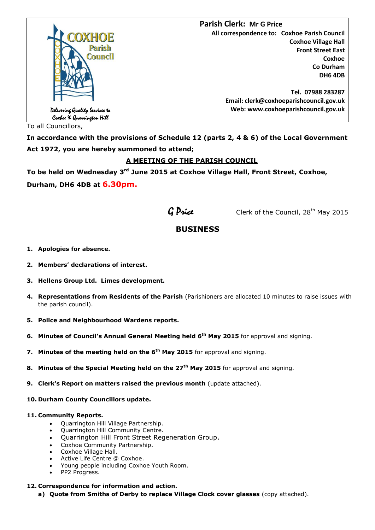

To all Councillors,

**In accordance with the provisions of Schedule 12 (parts 2, 4 & 6) of the Local Government Act 1972, you are hereby summoned to attend;**

## **A MEETING OF THE PARISH COUNCIL**

**To be held on Wednesday 3 rd June 2015 at Coxhoe Village Hall, Front Street, Coxhoe, Durham, DH6 4DB at 6.30pm.**



 $G$  Price Clerk of the Council, 28<sup>th</sup> May 2015

# **BUSINESS**

- **1. Apologies for absence.**
- **2. Members' declarations of interest.**
- **3. Hellens Group Ltd. Limes development.**
- **4. Representations from Residents of the Parish** (Parishioners are allocated 10 minutes to raise issues with the parish council).
- **5. Police and Neighbourhood Wardens reports.**
- **6. Minutes of Council's Annual General Meeting held 6 th May 2015** for approval and signing.
- **7. Minutes of the meeting held on the 6th May 2015** for approval and signing.
- **8. Minutes of the Special Meeting held on the 27th May 2015** for approval and signing.
- **9. Clerk's Report on matters raised the previous month** (update attached).
- **10. Durham County Councillors update.**

#### **11. Community Reports.**

- Quarrington Hill Village Partnership.
- Quarrington Hill Community Centre.
- Quarrington Hill Front Street Regeneration Group.
- Coxhoe Community Partnership.
- Coxhoe Village Hall.
- Active Life Centre @ Coxhoe.
- Young people including Coxhoe Youth Room.
- PP2 Progress.

#### **12. Correspondence for information and action.**

**a) Quote from Smiths of Derby to replace Village Clock cover glasses** (copy attached).